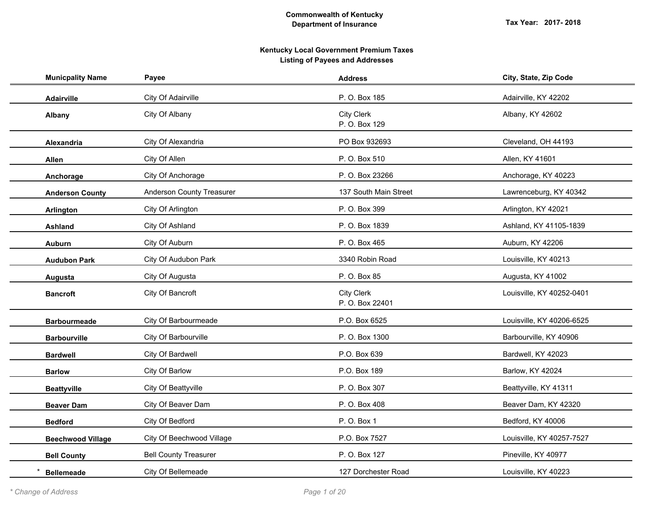| <b>Municpality Name</b>  | Payee                        | <b>Address</b>                       | City, State, Zip Code     |
|--------------------------|------------------------------|--------------------------------------|---------------------------|
| Adairville               | City Of Adairville           | P. O. Box 185                        | Adairville, KY 42202      |
| Albany                   | City Of Albany               | <b>City Clerk</b><br>P. O. Box 129   | Albany, KY 42602          |
| Alexandria               | City Of Alexandria           | PO Box 932693                        | Cleveland, OH 44193       |
| Allen                    | City Of Allen                | P. O. Box 510                        | Allen, KY 41601           |
| Anchorage                | City Of Anchorage            | P. O. Box 23266                      | Anchorage, KY 40223       |
| <b>Anderson County</b>   | Anderson County Treasurer    | 137 South Main Street                | Lawrenceburg, KY 40342    |
| Arlington                | City Of Arlington            | P. O. Box 399                        | Arlington, KY 42021       |
| <b>Ashland</b>           | City Of Ashland              | P.O. Box 1839                        | Ashland, KY 41105-1839    |
| <b>Auburn</b>            | City Of Auburn               | P. O. Box 465                        | Auburn, KY 42206          |
| <b>Audubon Park</b>      | City Of Audubon Park         | 3340 Robin Road                      | Louisville, KY 40213      |
| Augusta                  | City Of Augusta              | P. O. Box 85                         | Augusta, KY 41002         |
| <b>Bancroft</b>          | City Of Bancroft             | <b>City Clerk</b><br>P. O. Box 22401 | Louisville, KY 40252-0401 |
| <b>Barbourmeade</b>      | City Of Barbourmeade         | P.O. Box 6525                        | Louisville, KY 40206-6525 |
| <b>Barbourville</b>      | City Of Barbourville         | P. O. Box 1300                       | Barbourville, KY 40906    |
| <b>Bardwell</b>          | City Of Bardwell             | P.O. Box 639                         | Bardwell, KY 42023        |
| <b>Barlow</b>            | City Of Barlow               | P.O. Box 189                         | Barlow, KY 42024          |
| <b>Beattyville</b>       | City Of Beattyville          | P. O. Box 307                        | Beattyville, KY 41311     |
| <b>Beaver Dam</b>        | City Of Beaver Dam           | P. O. Box 408                        | Beaver Dam, KY 42320      |
| <b>Bedford</b>           | City Of Bedford              | P. O. Box 1                          | Bedford, KY 40006         |
| <b>Beechwood Village</b> | City Of Beechwood Village    | P.O. Box 7527                        | Louisville, KY 40257-7527 |
| <b>Bell County</b>       | <b>Bell County Treasurer</b> | P. O. Box 127                        | Pineville, KY 40977       |
| <b>Bellemeade</b>        | City Of Bellemeade           | 127 Dorchester Road                  | Louisville, KY 40223      |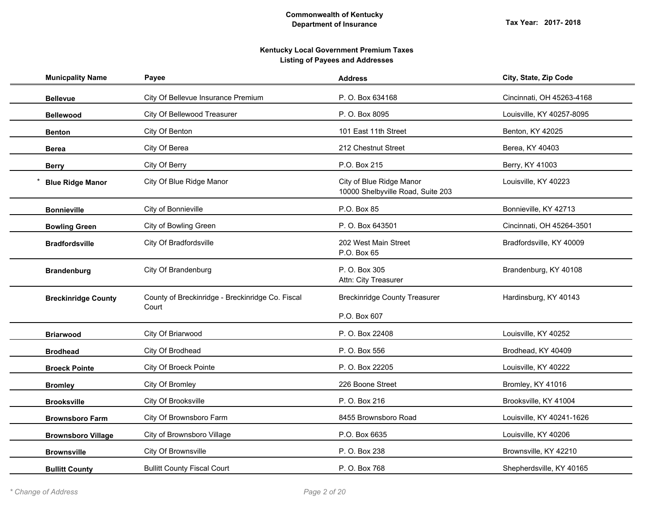| <b>Municpality Name</b>    | Payee                                                     | <b>Address</b>                                                | City, State, Zip Code     |
|----------------------------|-----------------------------------------------------------|---------------------------------------------------------------|---------------------------|
| <b>Bellevue</b>            | City Of Bellevue Insurance Premium                        | P.O. Box 634168                                               | Cincinnati, OH 45263-4168 |
| <b>Bellewood</b>           | City Of Bellewood Treasurer                               | P. O. Box 8095                                                | Louisville, KY 40257-8095 |
| <b>Benton</b>              | City Of Benton                                            | 101 East 11th Street                                          | Benton, KY 42025          |
| <b>Berea</b>               | City Of Berea                                             | 212 Chestnut Street                                           | Berea, KY 40403           |
| <b>Berry</b>               | City Of Berry                                             | P.O. Box 215                                                  | Berry, KY 41003           |
| <b>Blue Ridge Manor</b>    | City Of Blue Ridge Manor                                  | City of Blue Ridge Manor<br>10000 Shelbyville Road, Suite 203 | Louisville, KY 40223      |
| <b>Bonnieville</b>         | City of Bonnieville                                       | P.O. Box 85                                                   | Bonnieville, KY 42713     |
| <b>Bowling Green</b>       | City of Bowling Green                                     | P.O. Box 643501                                               | Cincinnati, OH 45264-3501 |
| <b>Bradfordsville</b>      | City Of Bradfordsville                                    | 202 West Main Street<br>P.O. Box 65                           | Bradfordsville, KY 40009  |
| <b>Brandenburg</b>         | City Of Brandenburg                                       | P. O. Box 305<br>Attn: City Treasurer                         | Brandenburg, KY 40108     |
| <b>Breckinridge County</b> | County of Breckinridge - Breckinridge Co. Fiscal<br>Court | <b>Breckinridge County Treasurer</b><br>P.O. Box 607          | Hardinsburg, KY 40143     |
| <b>Briarwood</b>           | City Of Briarwood                                         | P. O. Box 22408                                               | Louisville, KY 40252      |
| <b>Brodhead</b>            | City Of Brodhead                                          | P. O. Box 556                                                 | Brodhead, KY 40409        |
| <b>Broeck Pointe</b>       | City Of Broeck Pointe                                     | P. O. Box 22205                                               | Louisville, KY 40222      |
| <b>Bromley</b>             | City Of Bromley                                           | 226 Boone Street                                              | Bromley, KY 41016         |
| <b>Brooksville</b>         | City Of Brooksville                                       | P. O. Box 216                                                 | Brooksville, KY 41004     |
| <b>Brownsboro Farm</b>     | City Of Brownsboro Farm                                   | 8455 Brownsboro Road                                          | Louisville, KY 40241-1626 |
| <b>Brownsboro Village</b>  | City of Brownsboro Village                                | P.O. Box 6635                                                 | Louisville, KY 40206      |
| <b>Brownsville</b>         | City Of Brownsville                                       | P. O. Box 238                                                 | Brownsville, KY 42210     |
| <b>Bullitt County</b>      | <b>Bullitt County Fiscal Court</b>                        | P. O. Box 768                                                 | Shepherdsville, KY 40165  |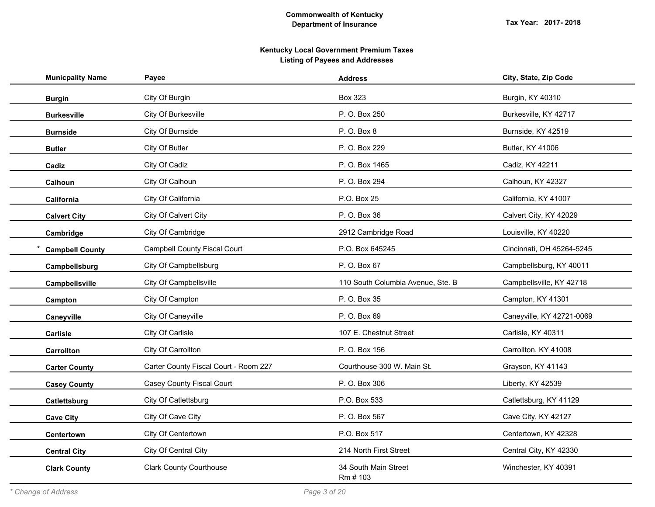| <b>Municpality Name</b> | Payee                                 | <b>Address</b>                    | City, State, Zip Code     |
|-------------------------|---------------------------------------|-----------------------------------|---------------------------|
| <b>Burgin</b>           | City Of Burgin                        | <b>Box 323</b>                    | Burgin, KY 40310          |
| <b>Burkesville</b>      | City Of Burkesville                   | P. O. Box 250                     | Burkesville, KY 42717     |
| <b>Burnside</b>         | City Of Burnside                      | P. O. Box 8                       | Burnside, KY 42519        |
| <b>Butler</b>           | City Of Butler                        | P. O. Box 229                     | Butler, KY 41006          |
| Cadiz                   | City Of Cadiz                         | P. O. Box 1465                    | Cadiz, KY 42211           |
| Calhoun                 | City Of Calhoun                       | P. O. Box 294                     | Calhoun, KY 42327         |
| California              | City Of California                    | P.O. Box 25                       | California, KY 41007      |
| <b>Calvert City</b>     | City Of Calvert City                  | P. O. Box 36                      | Calvert City, KY 42029    |
| Cambridge               | City Of Cambridge                     | 2912 Cambridge Road               | Louisville, KY 40220      |
| <b>Campbell County</b>  | <b>Campbell County Fiscal Court</b>   | P.O. Box 645245                   | Cincinnati, OH 45264-5245 |
| Campbellsburg           | City Of Campbellsburg                 | P. O. Box 67                      | Campbellsburg, KY 40011   |
| Campbellsville          | City Of Campbellsville                | 110 South Columbia Avenue, Ste. B | Campbellsville, KY 42718  |
| Campton                 | City Of Campton                       | P. O. Box 35                      | Campton, KY 41301         |
| Caneyville              | City Of Caneyville                    | P. O. Box 69                      | Caneyville, KY 42721-0069 |
| Carlisle                | City Of Carlisle                      | 107 E. Chestnut Street            | Carlisle, KY 40311        |
| Carrollton              | City Of Carrollton                    | P. O. Box 156                     | Carrollton, KY 41008      |
| <b>Carter County</b>    | Carter County Fiscal Court - Room 227 | Courthouse 300 W. Main St.        | Grayson, KY 41143         |
| <b>Casey County</b>     | Casey County Fiscal Court             | P. O. Box 306                     | Liberty, KY 42539         |
| Catlettsburg            | City Of Catlettsburg                  | P.O. Box 533                      | Catlettsburg, KY 41129    |
| <b>Cave City</b>        | City Of Cave City                     | P. O. Box 567                     | Cave City, KY 42127       |
| Centertown              | City Of Centertown                    | P.O. Box 517                      | Centertown, KY 42328      |
| <b>Central City</b>     | City Of Central City                  | 214 North First Street            | Central City, KY 42330    |
| <b>Clark County</b>     | <b>Clark County Courthouse</b>        | 34 South Main Street<br>Rm # 103  | Winchester, KY 40391      |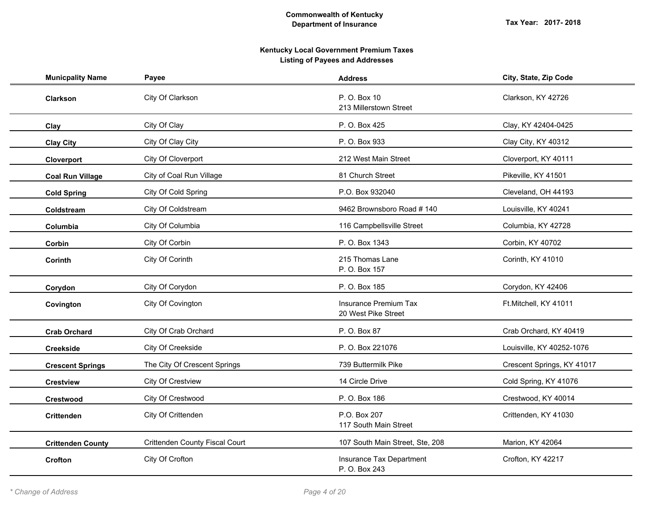| <b>Municpality Name</b>  | Payee                          | <b>Address</b>                               | City, State, Zip Code      |
|--------------------------|--------------------------------|----------------------------------------------|----------------------------|
| Clarkson                 | City Of Clarkson               | P. O. Box 10<br>213 Millerstown Street       | Clarkson, KY 42726         |
| Clay                     | City Of Clay                   | P. O. Box 425                                | Clay, KY 42404-0425        |
| <b>Clay City</b>         | City Of Clay City              | P. O. Box 933                                | Clay City, KY 40312        |
| Cloverport               | City Of Cloverport             | 212 West Main Street                         | Cloverport, KY 40111       |
| <b>Coal Run Village</b>  | City of Coal Run Village       | 81 Church Street                             | Pikeville, KY 41501        |
| <b>Cold Spring</b>       | City Of Cold Spring            | P.O. Box 932040                              | Cleveland, OH 44193        |
| Coldstream               | City Of Coldstream             | 9462 Brownsboro Road #140                    | Louisville, KY 40241       |
| Columbia                 | City Of Columbia               | 116 Campbellsville Street                    | Columbia, KY 42728         |
| Corbin                   | City Of Corbin                 | P. O. Box 1343                               | Corbin, KY 40702           |
| Corinth                  | City Of Corinth                | 215 Thomas Lane<br>P. O. Box 157             | Corinth, KY 41010          |
| Corydon                  | City Of Corydon                | P. O. Box 185                                | Corydon, KY 42406          |
| Covington                | City Of Covington              | Insurance Premium Tax<br>20 West Pike Street | Ft.Mitchell, KY 41011      |
| <b>Crab Orchard</b>      | City Of Crab Orchard           | P. O. Box 87                                 | Crab Orchard, KY 40419     |
| <b>Creekside</b>         | City Of Creekside              | P. O. Box 221076                             | Louisville, KY 40252-1076  |
| <b>Crescent Springs</b>  | The City Of Crescent Springs   | 739 Buttermilk Pike                          | Crescent Springs, KY 41017 |
| <b>Crestview</b>         | City Of Crestview              | 14 Circle Drive                              | Cold Spring, KY 41076      |
| Crestwood                | City Of Crestwood              | P. O. Box 186                                | Crestwood, KY 40014        |
| <b>Crittenden</b>        | City Of Crittenden             | P.O. Box 207<br>117 South Main Street        | Crittenden, KY 41030       |
| <b>Crittenden County</b> | Crittenden County Fiscal Court | 107 South Main Street, Ste, 208              | Marion, KY 42064           |
| <b>Crofton</b>           | City Of Crofton                | Insurance Tax Department<br>P. O. Box 243    | Crofton, KY 42217          |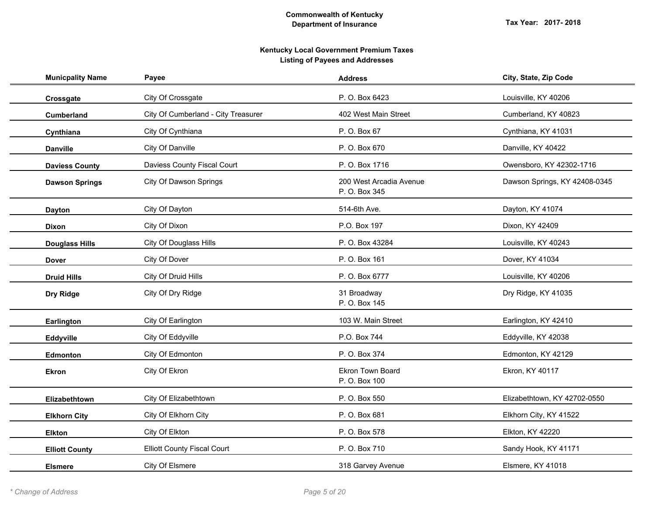| <b>Municpality Name</b> | Payee                               | <b>Address</b>                           | City, State, Zip Code         |
|-------------------------|-------------------------------------|------------------------------------------|-------------------------------|
| Crossgate               | City Of Crossgate                   | P. O. Box 6423                           | Louisville, KY 40206          |
| Cumberland              | City Of Cumberland - City Treasurer | 402 West Main Street                     | Cumberland, KY 40823          |
| Cynthiana               | City Of Cynthiana                   | P. O. Box 67                             | Cynthiana, KY 41031           |
| <b>Danville</b>         | City Of Danville                    | P.O. Box 670                             | Danville, KY 40422            |
| <b>Daviess County</b>   | Daviess County Fiscal Court         | P.O. Box 1716                            | Owensboro, KY 42302-1716      |
| <b>Dawson Springs</b>   | City Of Dawson Springs              | 200 West Arcadia Avenue<br>P. O. Box 345 | Dawson Springs, KY 42408-0345 |
| <b>Dayton</b>           | City Of Dayton                      | 514-6th Ave.                             | Dayton, KY 41074              |
| <b>Dixon</b>            | City Of Dixon                       | P.O. Box 197                             | Dixon, KY 42409               |
| <b>Douglass Hills</b>   | City Of Douglass Hills              | P. O. Box 43284                          | Louisville, KY 40243          |
| <b>Dover</b>            | City Of Dover                       | P. O. Box 161                            | Dover, KY 41034               |
| <b>Druid Hills</b>      | City Of Druid Hills                 | P.O. Box 6777                            | Louisville, KY 40206          |
| Dry Ridge               | City Of Dry Ridge                   | 31 Broadway<br>P.O. Box 145              | Dry Ridge, KY 41035           |
| Earlington              | City Of Earlington                  | 103 W. Main Street                       | Earlington, KY 42410          |
| Eddyville               | City Of Eddyville                   | P.O. Box 744                             | Eddyville, KY 42038           |
| Edmonton                | City Of Edmonton                    | P. O. Box 374                            | Edmonton, KY 42129            |
| <b>Ekron</b>            | City Of Ekron                       | Ekron Town Board<br>P. O. Box 100        | Ekron, KY 40117               |
| Elizabethtown           | City Of Elizabethtown               | P.O. Box 550                             | Elizabethtown, KY 42702-0550  |
| <b>Elkhorn City</b>     | City Of Elkhorn City                | P. O. Box 681                            | Elkhorn City, KY 41522        |
| <b>Elkton</b>           | City Of Elkton                      | P. O. Box 578                            | Elkton, KY 42220              |
| <b>Elliott County</b>   | <b>Elliott County Fiscal Court</b>  | P. O. Box 710                            | Sandy Hook, KY 41171          |
| <b>Elsmere</b>          | City Of Elsmere                     | 318 Garvey Avenue                        | Elsmere, KY 41018             |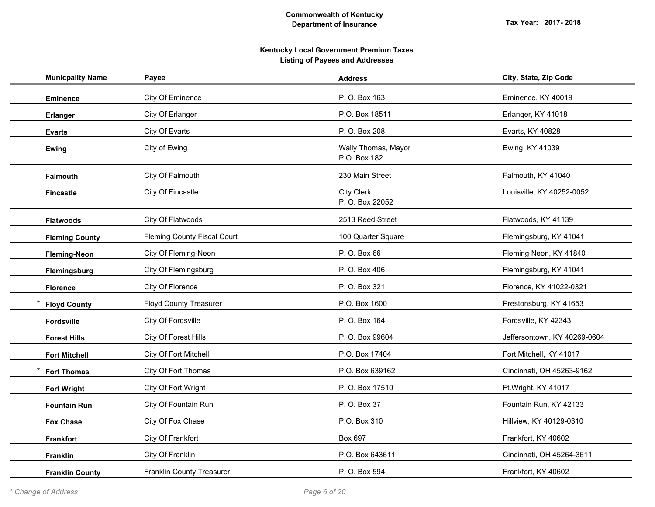| <b>Municpality Name</b> | Payee                         | <b>Address</b>                      | City, State, Zip Code        |
|-------------------------|-------------------------------|-------------------------------------|------------------------------|
| <b>Eminence</b>         | City Of Eminence              | P. O. Box 163                       | Eminence, KY 40019           |
| <b>Erlanger</b>         | City Of Erlanger              | P.O. Box 18511                      | Erlanger, KY 41018           |
| <b>Evarts</b>           | City Of Evarts                | P. O. Box 208                       | Evarts, KY 40828             |
| <b>Ewing</b>            | City of Ewing                 | Wally Thomas, Mayor<br>P.O. Box 182 | Ewing, KY 41039              |
| <b>Falmouth</b>         | City Of Falmouth              | 230 Main Street                     | Falmouth, KY 41040           |
| <b>Fincastle</b>        | City Of Fincastle             | City Clerk<br>P. O. Box 22052       | Louisville, KY 40252-0052    |
| <b>Flatwoods</b>        | City Of Flatwoods             | 2513 Reed Street                    | Flatwoods, KY 41139          |
| <b>Fleming County</b>   | Fleming County Fiscal Court   | 100 Quarter Square                  | Flemingsburg, KY 41041       |
| <b>Fleming-Neon</b>     | City Of Fleming-Neon          | P. O. Box 66                        | Fleming Neon, KY 41840       |
| Flemingsburg            | City Of Flemingsburg          | P. O. Box 406                       | Flemingsburg, KY 41041       |
| <b>Florence</b>         | City Of Florence              | P. O. Box 321                       | Florence, KY 41022-0321      |
| <b>Floyd County</b>     | <b>Floyd County Treasurer</b> | P.O. Box 1600                       | Prestonsburg, KY 41653       |
| <b>Fordsville</b>       | City Of Fordsville            | P.O. Box 164                        | Fordsville, KY 42343         |
| <b>Forest Hills</b>     | City Of Forest Hills          | P. O. Box 99604                     | Jeffersontown, KY 40269-0604 |
| <b>Fort Mitchell</b>    | City Of Fort Mitchell         | P.O. Box 17404                      | Fort Mitchell, KY 41017      |
| <b>Fort Thomas</b>      | City Of Fort Thomas           | P.O. Box 639162                     | Cincinnati, OH 45263-9162    |
| <b>Fort Wright</b>      | City Of Fort Wright           | P.O. Box 17510                      | Ft.Wright, KY 41017          |
| <b>Fountain Run</b>     | City Of Fountain Run          | P. O. Box 37                        | Fountain Run, KY 42133       |
| <b>Fox Chase</b>        | City Of Fox Chase             | P.O. Box 310                        | Hillview, KY 40129-0310      |
| <b>Frankfort</b>        | City Of Frankfort             | Box 697                             | Frankfort, KY 40602          |
| <b>Franklin</b>         | City Of Franklin              | P.O. Box 643611                     | Cincinnati, OH 45264-3611    |
| <b>Franklin County</b>  | Franklin County Treasurer     | P.O. Box 594                        | Frankfort, KY 40602          |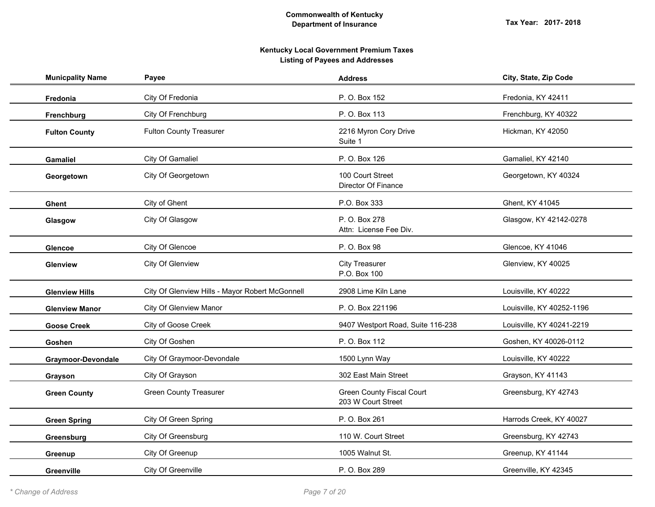| <b>Municpality Name</b>   | Payee                                           | <b>Address</b>                                         | City, State, Zip Code     |
|---------------------------|-------------------------------------------------|--------------------------------------------------------|---------------------------|
| Fredonia                  | City Of Fredonia                                | P. O. Box 152                                          | Fredonia, KY 42411        |
| Frenchburg                | City Of Frenchburg                              | P.O. Box 113                                           | Frenchburg, KY 40322      |
| <b>Fulton County</b>      | Fulton County Treasurer                         | 2216 Myron Cory Drive<br>Suite 1                       | Hickman, KY 42050         |
| Gamaliel                  | City Of Gamaliel                                | P. O. Box 126                                          | Gamaliel, KY 42140        |
| Georgetown                | City Of Georgetown                              | 100 Court Street<br>Director Of Finance                | Georgetown, KY 40324      |
| <b>Ghent</b>              | City of Ghent                                   | P.O. Box 333                                           | Ghent, KY 41045           |
| Glasgow                   | City Of Glasgow                                 | P. O. Box 278<br>Attn: License Fee Div.                | Glasgow, KY 42142-0278    |
| Glencoe                   | City Of Glencoe                                 | P. O. Box 98                                           | Glencoe, KY 41046         |
| <b>Glenview</b>           | City Of Glenview                                | <b>City Treasurer</b><br>P.O. Box 100                  | Glenview, KY 40025        |
| <b>Glenview Hills</b>     | City Of Glenview Hills - Mayor Robert McGonnell | 2908 Lime Kiln Lane                                    | Louisville, KY 40222      |
| <b>Glenview Manor</b>     | City Of Glenview Manor                          | P. O. Box 221196                                       | Louisville, KY 40252-1196 |
| <b>Goose Creek</b>        | City of Goose Creek                             | 9407 Westport Road, Suite 116-238                      | Louisville, KY 40241-2219 |
| Goshen                    | City Of Goshen                                  | P. O. Box 112                                          | Goshen, KY 40026-0112     |
| <b>Graymoor-Devondale</b> | City Of Graymoor-Devondale                      | 1500 Lynn Way                                          | Louisville, KY 40222      |
| Grayson                   | City Of Grayson                                 | 302 East Main Street                                   | Grayson, KY 41143         |
| <b>Green County</b>       | <b>Green County Treasurer</b>                   | <b>Green County Fiscal Court</b><br>203 W Court Street | Greensburg, KY 42743      |
| <b>Green Spring</b>       | City Of Green Spring                            | P. O. Box 261                                          | Harrods Creek, KY 40027   |
| Greensburg                | City Of Greensburg                              | 110 W. Court Street                                    | Greensburg, KY 42743      |
| Greenup                   | City Of Greenup                                 | 1005 Walnut St.                                        | Greenup, KY 41144         |
| <b>Greenville</b>         | City Of Greenville                              | P. O. Box 289                                          | Greenville, KY 42345      |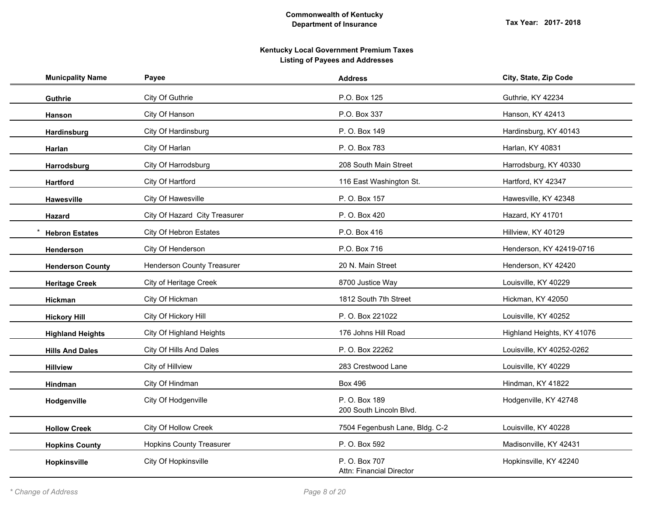| <b>Municpality Name</b> | Payee                           | <b>Address</b>                            | City, State, Zip Code      |
|-------------------------|---------------------------------|-------------------------------------------|----------------------------|
| Guthrie                 | City Of Guthrie                 | P.O. Box 125                              | Guthrie, KY 42234          |
| <b>Hanson</b>           | City Of Hanson                  | P.O. Box 337                              | Hanson, KY 42413           |
| Hardinsburg             | City Of Hardinsburg             | P. O. Box 149                             | Hardinsburg, KY 40143      |
| Harlan                  | City Of Harlan                  | P. O. Box 783                             | Harlan, KY 40831           |
| Harrodsburg             | City Of Harrodsburg             | 208 South Main Street                     | Harrodsburg, KY 40330      |
| <b>Hartford</b>         | City Of Hartford                | 116 East Washington St.                   | Hartford, KY 42347         |
| <b>Hawesville</b>       | City Of Hawesville              | P. O. Box 157                             | Hawesville, KY 42348       |
| Hazard                  | City Of Hazard City Treasurer   | P. O. Box 420                             | Hazard, KY 41701           |
| <b>Hebron Estates</b>   | City Of Hebron Estates          | P.O. Box 416                              | Hillview, KY 40129         |
| <b>Henderson</b>        | City Of Henderson               | P.O. Box 716                              | Henderson, KY 42419-0716   |
| <b>Henderson County</b> | Henderson County Treasurer      | 20 N. Main Street                         | Henderson, KY 42420        |
| <b>Heritage Creek</b>   | City of Heritage Creek          | 8700 Justice Way                          | Louisville, KY 40229       |
| Hickman                 | City Of Hickman                 | 1812 South 7th Street                     | Hickman, KY 42050          |
| <b>Hickory Hill</b>     | City Of Hickory Hill            | P. O. Box 221022                          | Louisville, KY 40252       |
| <b>Highland Heights</b> | City Of Highland Heights        | 176 Johns Hill Road                       | Highland Heights, KY 41076 |
| <b>Hills And Dales</b>  | City Of Hills And Dales         | P. O. Box 22262                           | Louisville, KY 40252-0262  |
| <b>Hillview</b>         | City of Hillview                | 283 Crestwood Lane                        | Louisville, KY 40229       |
| Hindman                 | City Of Hindman                 | <b>Box 496</b>                            | Hindman, KY 41822          |
| Hodgenville             | City Of Hodgenville             | P. O. Box 189<br>200 South Lincoln Blvd.  | Hodgenville, KY 42748      |
| <b>Hollow Creek</b>     | City Of Hollow Creek            | 7504 Fegenbush Lane, Bldg. C-2            | Louisville, KY 40228       |
| <b>Hopkins County</b>   | <b>Hopkins County Treasurer</b> | P. O. Box 592                             | Madisonville, KY 42431     |
| Hopkinsville            | City Of Hopkinsville            | P. O. Box 707<br>Attn: Financial Director | Hopkinsville, KY 42240     |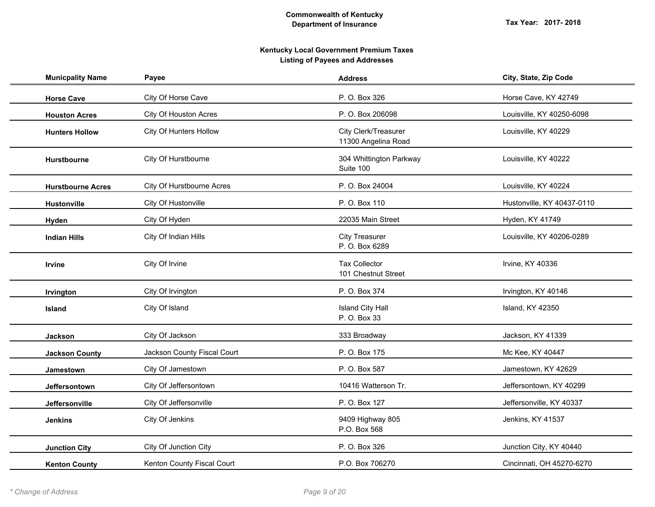| <b>Municpality Name</b>  | Payee                       | <b>Address</b>                              | City, State, Zip Code      |
|--------------------------|-----------------------------|---------------------------------------------|----------------------------|
| <b>Horse Cave</b>        | City Of Horse Cave          | P. O. Box 326                               | Horse Cave, KY 42749       |
| <b>Houston Acres</b>     | City Of Houston Acres       | P. O. Box 206098                            | Louisville, KY 40250-6098  |
| <b>Hunters Hollow</b>    | City Of Hunters Hollow      | City Clerk/Treasurer<br>11300 Angelina Road | Louisville, KY 40229       |
| <b>Hurstbourne</b>       | City Of Hurstbourne         | 304 Whittington Parkway<br>Suite 100        | Louisville, KY 40222       |
| <b>Hurstbourne Acres</b> | City Of Hurstbourne Acres   | P. O. Box 24004                             | Louisville, KY 40224       |
| <b>Hustonville</b>       | City Of Hustonville         | P. O. Box 110                               | Hustonville, KY 40437-0110 |
| Hyden                    | City Of Hyden               | 22035 Main Street                           | Hyden, KY 41749            |
| <b>Indian Hills</b>      | City Of Indian Hills        | <b>City Treasurer</b><br>P. O. Box 6289     | Louisville, KY 40206-0289  |
| Irvine                   | City Of Irvine              | <b>Tax Collector</b><br>101 Chestnut Street | Irvine, KY 40336           |
| Irvington                | City Of Irvington           | P. O. Box 374                               | Irvington, KY 40146        |
| <b>Island</b>            | City Of Island              | <b>Island City Hall</b><br>P. O. Box 33     | Island, KY 42350           |
| Jackson                  | City Of Jackson             | 333 Broadway                                | Jackson, KY 41339          |
| <b>Jackson County</b>    | Jackson County Fiscal Court | P. O. Box 175                               | Mc Kee, KY 40447           |
| Jamestown                | City Of Jamestown           | P. O. Box 587                               | Jamestown, KY 42629        |
| Jeffersontown            | City Of Jeffersontown       | 10416 Watterson Tr.                         | Jeffersontown, KY 40299    |
| Jeffersonville           | City Of Jeffersonville      | P. O. Box 127                               | Jeffersonville, KY 40337   |
| <b>Jenkins</b>           | City Of Jenkins             | 9409 Highway 805<br>P.O. Box 568            | Jenkins, KY 41537          |
| <b>Junction City</b>     | City Of Junction City       | P. O. Box 326                               | Junction City, KY 40440    |
| <b>Kenton County</b>     | Kenton County Fiscal Court  | P.O. Box 706270                             | Cincinnati, OH 45270-6270  |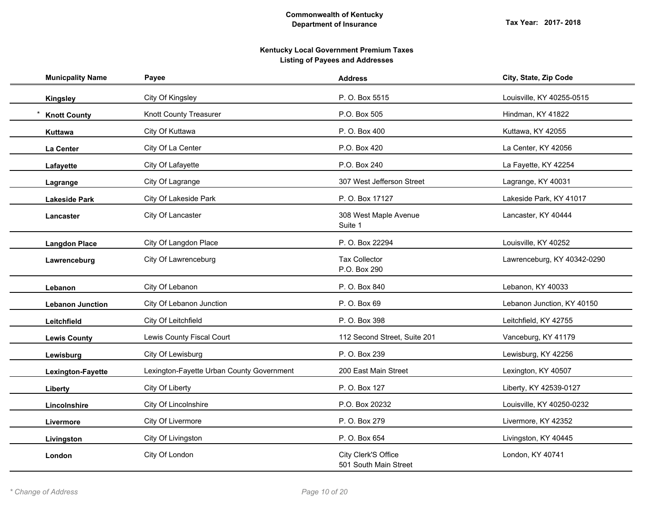| <b>Municpality Name</b> | Payee                                     | <b>Address</b>                               | City, State, Zip Code       |
|-------------------------|-------------------------------------------|----------------------------------------------|-----------------------------|
| <b>Kingsley</b>         | City Of Kingsley                          | P. O. Box 5515                               | Louisville, KY 40255-0515   |
| <b>Knott County</b>     | Knott County Treasurer                    | P.O. Box 505                                 | Hindman, KY 41822           |
| Kuttawa                 | City Of Kuttawa                           | P. O. Box 400                                | Kuttawa, KY 42055           |
| La Center               | City Of La Center                         | P.O. Box 420                                 | La Center, KY 42056         |
| Lafayette               | City Of Lafayette                         | P.O. Box 240                                 | La Fayette, KY 42254        |
| Lagrange                | City Of Lagrange                          | 307 West Jefferson Street                    | Lagrange, KY 40031          |
| <b>Lakeside Park</b>    | City Of Lakeside Park                     | P. O. Box 17127                              | Lakeside Park, KY 41017     |
| Lancaster               | City Of Lancaster                         | 308 West Maple Avenue<br>Suite 1             | Lancaster, KY 40444         |
| <b>Langdon Place</b>    | City Of Langdon Place                     | P. O. Box 22294                              | Louisville, KY 40252        |
| Lawrenceburg            | City Of Lawrenceburg                      | <b>Tax Collector</b><br>P.O. Box 290         | Lawrenceburg, KY 40342-0290 |
| Lebanon                 | City Of Lebanon                           | P. O. Box 840                                | Lebanon, KY 40033           |
| <b>Lebanon Junction</b> | City Of Lebanon Junction                  | P. O. Box 69                                 | Lebanon Junction, KY 40150  |
| Leitchfield             | City Of Leitchfield                       | P. O. Box 398                                | Leitchfield, KY 42755       |
| <b>Lewis County</b>     | Lewis County Fiscal Court                 | 112 Second Street, Suite 201                 | Vanceburg, KY 41179         |
| Lewisburg               | City Of Lewisburg                         | P. O. Box 239                                | Lewisburg, KY 42256         |
| Lexington-Fayette       | Lexington-Fayette Urban County Government | 200 East Main Street                         | Lexington, KY 40507         |
| Liberty                 | City Of Liberty                           | P. O. Box 127                                | Liberty, KY 42539-0127      |
| Lincolnshire            | City Of Lincolnshire                      | P.O. Box 20232                               | Louisville, KY 40250-0232   |
| Livermore               | City Of Livermore                         | P. O. Box 279                                | Livermore, KY 42352         |
| Livingston              | City Of Livingston                        | P. O. Box 654                                | Livingston, KY 40445        |
| London                  | City Of London                            | City Clerk'S Office<br>501 South Main Street | London, KY 40741            |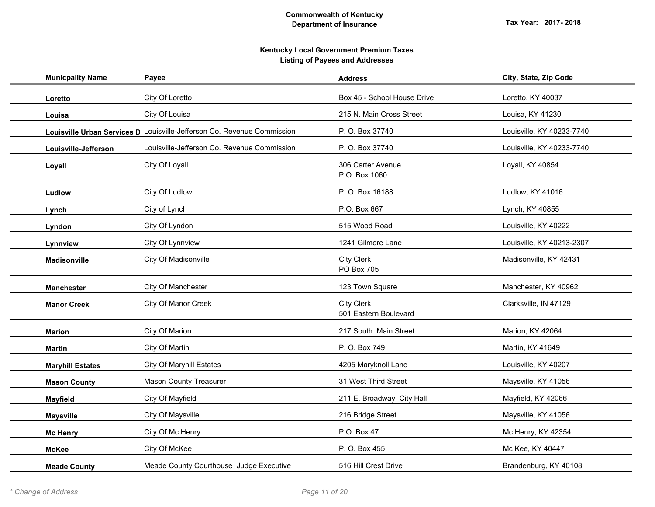| <b>Municpality Name</b> | Payee                                                                   | <b>Address</b>                             | City, State, Zip Code     |
|-------------------------|-------------------------------------------------------------------------|--------------------------------------------|---------------------------|
| Loretto                 | City Of Loretto                                                         | Box 45 - School House Drive                | Loretto, KY 40037         |
| Louisa                  | City Of Louisa                                                          | 215 N. Main Cross Street                   | Louisa, KY 41230          |
|                         | Louisville Urban Services D Louisville-Jefferson Co. Revenue Commission | P. O. Box 37740                            | Louisville, KY 40233-7740 |
| Louisville-Jefferson    | Louisville-Jefferson Co. Revenue Commission                             | P. O. Box 37740                            | Louisville, KY 40233-7740 |
| Loyall                  | City Of Loyall                                                          | 306 Carter Avenue<br>P.O. Box 1060         | Loyall, KY 40854          |
| Ludlow                  | City Of Ludlow                                                          | P.O. Box 16188                             | Ludlow, KY 41016          |
| Lynch                   | City of Lynch                                                           | P.O. Box 667                               | Lynch, KY 40855           |
| Lyndon                  | City Of Lyndon                                                          | 515 Wood Road                              | Louisville, KY 40222      |
| Lynnview                | City Of Lynnview                                                        | 1241 Gilmore Lane                          | Louisville, KY 40213-2307 |
| <b>Madisonville</b>     | City Of Madisonville                                                    | <b>City Clerk</b><br>PO Box 705            | Madisonville, KY 42431    |
| <b>Manchester</b>       | City Of Manchester                                                      | 123 Town Square                            | Manchester, KY 40962      |
| <b>Manor Creek</b>      | City Of Manor Creek                                                     | <b>City Clerk</b><br>501 Eastern Boulevard | Clarksville, IN 47129     |
| <b>Marion</b>           | City Of Marion                                                          | 217 South Main Street                      | Marion, KY 42064          |
| <b>Martin</b>           | City Of Martin                                                          | P. O. Box 749                              | Martin, KY 41649          |
| <b>Maryhill Estates</b> | <b>City Of Maryhill Estates</b>                                         | 4205 Maryknoll Lane                        | Louisville, KY 40207      |
| <b>Mason County</b>     | Mason County Treasurer                                                  | 31 West Third Street                       | Maysville, KY 41056       |
| <b>Mayfield</b>         | City Of Mayfield                                                        | 211 E. Broadway City Hall                  | Mayfield, KY 42066        |
| <b>Maysville</b>        | City Of Maysville                                                       | 216 Bridge Street                          | Maysville, KY 41056       |
| <b>Mc Henry</b>         | City Of Mc Henry                                                        | P.O. Box 47                                | Mc Henry, KY 42354        |
| <b>McKee</b>            | City Of McKee                                                           | P. O. Box 455                              | Mc Kee, KY 40447          |
| <b>Meade County</b>     | Meade County Courthouse Judge Executive                                 | 516 Hill Crest Drive                       | Brandenburg, KY 40108     |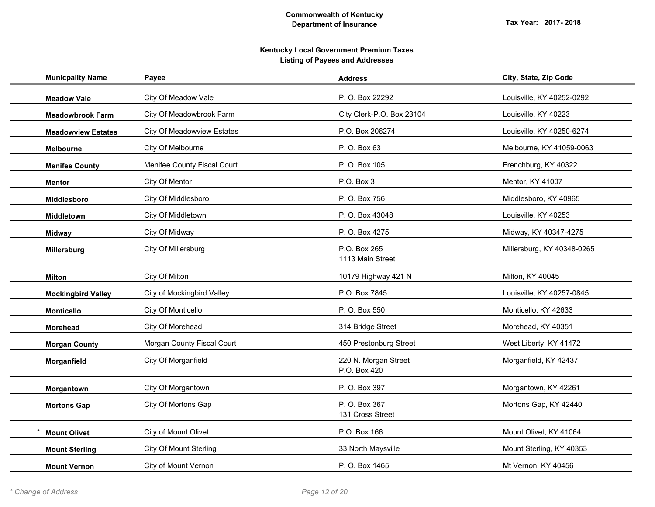| <b>Municpality Name</b>   | Payee                         | <b>Address</b>                       | City, State, Zip Code      |
|---------------------------|-------------------------------|--------------------------------------|----------------------------|
| <b>Meadow Vale</b>        | City Of Meadow Vale           | P. O. Box 22292                      | Louisville, KY 40252-0292  |
| <b>Meadowbrook Farm</b>   | City Of Meadowbrook Farm      | City Clerk-P.O. Box 23104            | Louisville, KY 40223       |
| <b>Meadowview Estates</b> | City Of Meadowview Estates    | P.O. Box 206274                      | Louisville, KY 40250-6274  |
| <b>Melbourne</b>          | City Of Melbourne             | P. O. Box 63                         | Melbourne, KY 41059-0063   |
| <b>Menifee County</b>     | Menifee County Fiscal Court   | P. O. Box 105                        | Frenchburg, KY 40322       |
| <b>Mentor</b>             | City Of Mentor                | P.O. Box 3                           | Mentor, KY 41007           |
| Middlesboro               | City Of Middlesboro           | P. O. Box 756                        | Middlesboro, KY 40965      |
| Middletown                | City Of Middletown            | P. O. Box 43048                      | Louisville, KY 40253       |
| <b>Midway</b>             | City Of Midway                | P. O. Box 4275                       | Midway, KY 40347-4275      |
| Millersburg               | City Of Millersburg           | P.O. Box 265<br>1113 Main Street     | Millersburg, KY 40348-0265 |
| <b>Milton</b>             | City Of Milton                | 10179 Highway 421 N                  | Milton, KY 40045           |
| <b>Mockingbird Valley</b> | City of Mockingbird Valley    | P.O. Box 7845                        | Louisville, KY 40257-0845  |
| <b>Monticello</b>         | City Of Monticello            | P. O. Box 550                        | Monticello, KY 42633       |
| <b>Morehead</b>           | City Of Morehead              | 314 Bridge Street                    | Morehead, KY 40351         |
| <b>Morgan County</b>      | Morgan County Fiscal Court    | 450 Prestonburg Street               | West Liberty, KY 41472     |
| Morganfield               | City Of Morganfield           | 220 N. Morgan Street<br>P.O. Box 420 | Morganfield, KY 42437      |
| Morgantown                | City Of Morgantown            | P. O. Box 397                        | Morgantown, KY 42261       |
| <b>Mortons Gap</b>        | City Of Mortons Gap           | P. O. Box 367<br>131 Cross Street    | Mortons Gap, KY 42440      |
| <b>Mount Olivet</b>       | City of Mount Olivet          | P.O. Box 166                         | Mount Olivet, KY 41064     |
| <b>Mount Sterling</b>     | <b>City Of Mount Sterling</b> | 33 North Maysville                   | Mount Sterling, KY 40353   |
| <b>Mount Vernon</b>       | City of Mount Vernon          | P. O. Box 1465                       | Mt Vernon, KY 40456        |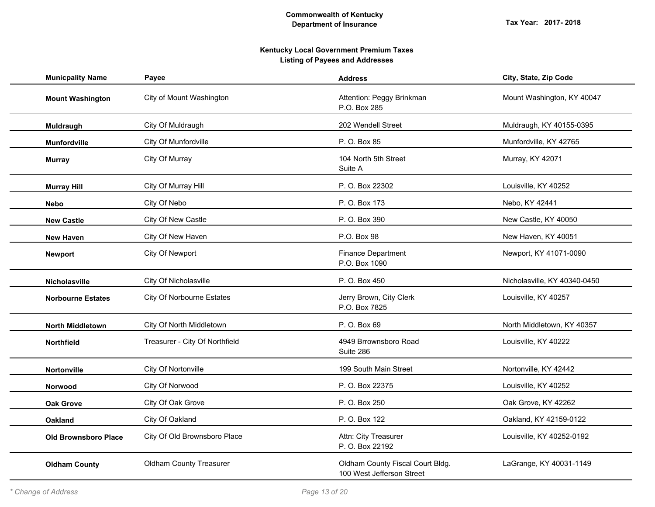| <b>Municpality Name</b>     | Payee                            | <b>Address</b>                                                | City, State, Zip Code        |
|-----------------------------|----------------------------------|---------------------------------------------------------------|------------------------------|
| <b>Mount Washington</b>     | City of Mount Washington         | Attention: Peggy Brinkman<br>P.O. Box 285                     | Mount Washington, KY 40047   |
| Muldraugh                   | City Of Muldraugh                | 202 Wendell Street                                            | Muldraugh, KY 40155-0395     |
| Munfordville                | City Of Munfordville             | P. O. Box 85                                                  | Munfordville, KY 42765       |
| <b>Murray</b>               | City Of Murray                   | 104 North 5th Street<br>Suite A                               | Murray, KY 42071             |
| <b>Murray Hill</b>          | City Of Murray Hill              | P. O. Box 22302                                               | Louisville, KY 40252         |
| Nebo                        | City Of Nebo                     | P.O. Box 173                                                  | Nebo, KY 42441               |
| <b>New Castle</b>           | City Of New Castle               | P. O. Box 390                                                 | New Castle, KY 40050         |
| <b>New Haven</b>            | City Of New Haven                | P.O. Box 98                                                   | New Haven, KY 40051          |
| <b>Newport</b>              | City Of Newport                  | <b>Finance Department</b><br>P.O. Box 1090                    | Newport, KY 41071-0090       |
| Nicholasville               | City Of Nicholasville            | P. O. Box 450                                                 | Nicholasville, KY 40340-0450 |
| <b>Norbourne Estates</b>    | <b>City Of Norbourne Estates</b> | Jerry Brown, City Clerk<br>P.O. Box 7825                      | Louisville, KY 40257         |
| <b>North Middletown</b>     | City Of North Middletown         | P. O. Box 69                                                  | North Middletown, KY 40357   |
| <b>Northfield</b>           | Treasurer - City Of Northfield   | 4949 Brrownsboro Road<br>Suite 286                            | Louisville, KY 40222         |
| <b>Nortonville</b>          | City Of Nortonville              | 199 South Main Street                                         | Nortonville, KY 42442        |
| <b>Norwood</b>              | City Of Norwood                  | P. O. Box 22375                                               | Louisville, KY 40252         |
| <b>Oak Grove</b>            | City Of Oak Grove                | P. O. Box 250                                                 | Oak Grove, KY 42262          |
| <b>Oakland</b>              | City Of Oakland                  | P. O. Box 122                                                 | Oakland, KY 42159-0122       |
| <b>Old Brownsboro Place</b> | City Of Old Brownsboro Place     | Attn: City Treasurer<br>P. O. Box 22192                       | Louisville, KY 40252-0192    |
| <b>Oldham County</b>        | <b>Oldham County Treasurer</b>   | Oldham County Fiscal Court Bldg.<br>100 West Jefferson Street | LaGrange, KY 40031-1149      |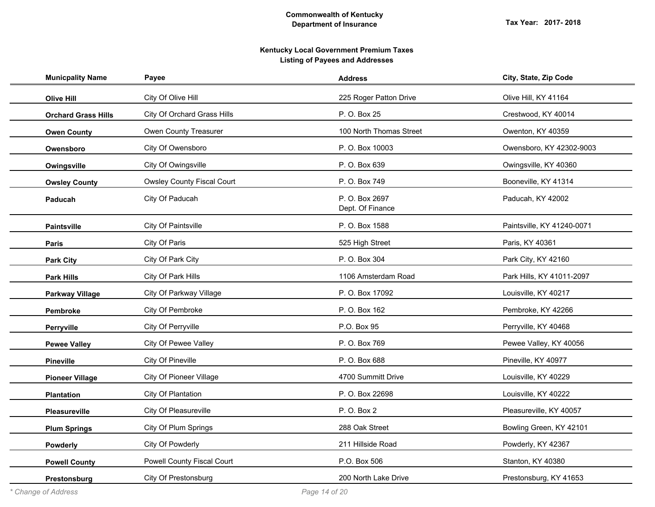| <b>Municpality Name</b>    | Payee                             | <b>Address</b>                     | City, State, Zip Code      |
|----------------------------|-----------------------------------|------------------------------------|----------------------------|
| <b>Olive Hill</b>          | City Of Olive Hill                | 225 Roger Patton Drive             | Olive Hill, KY 41164       |
| <b>Orchard Grass Hills</b> | City Of Orchard Grass Hills       | P. O. Box 25                       | Crestwood, KY 40014        |
| <b>Owen County</b>         | Owen County Treasurer             | 100 North Thomas Street            | Owenton, KY 40359          |
| Owensboro                  | City Of Owensboro                 | P. O. Box 10003                    | Owensboro, KY 42302-9003   |
| Owingsville                | City Of Owingsville               | P.O. Box 639                       | Owingsville, KY 40360      |
| <b>Owsley County</b>       | <b>Owsley County Fiscal Court</b> | P. O. Box 749                      | Booneville, KY 41314       |
| Paducah                    | City Of Paducah                   | P. O. Box 2697<br>Dept. Of Finance | Paducah, KY 42002          |
| <b>Paintsville</b>         | City Of Paintsville               | P. O. Box 1588                     | Paintsville, KY 41240-0071 |
| <b>Paris</b>               | City Of Paris                     | 525 High Street                    | Paris, KY 40361            |
| <b>Park City</b>           | City Of Park City                 | P. O. Box 304                      | Park City, KY 42160        |
| <b>Park Hills</b>          | City Of Park Hills                | 1106 Amsterdam Road                | Park Hills, KY 41011-2097  |
| <b>Parkway Village</b>     | City Of Parkway Village           | P. O. Box 17092                    | Louisville, KY 40217       |
| Pembroke                   | City Of Pembroke                  | P. O. Box 162                      | Pembroke, KY 42266         |
| Perryville                 | City Of Perryville                | P.O. Box 95                        | Perryville, KY 40468       |
| <b>Pewee Valley</b>        | City Of Pewee Valley              | P.O. Box 769                       | Pewee Valley, KY 40056     |
| <b>Pineville</b>           | City Of Pineville                 | P.O. Box 688                       | Pineville, KY 40977        |
| <b>Pioneer Village</b>     | <b>City Of Pioneer Village</b>    | 4700 Summitt Drive                 | Louisville, KY 40229       |
| <b>Plantation</b>          | City Of Plantation                | P. O. Box 22698                    | Louisville, KY 40222       |
| Pleasureville              | City Of Pleasureville             | P. O. Box 2                        | Pleasureville, KY 40057    |
| <b>Plum Springs</b>        | City Of Plum Springs              | 288 Oak Street                     | Bowling Green, KY 42101    |
| Powderly                   | City Of Powderly                  | 211 Hillside Road                  | Powderly, KY 42367         |
| <b>Powell County</b>       | Powell County Fiscal Court        | P.O. Box 506                       | Stanton, KY 40380          |
| Prestonsburg               | City Of Prestonsburg              | 200 North Lake Drive               | Prestonsburg, KY 41653     |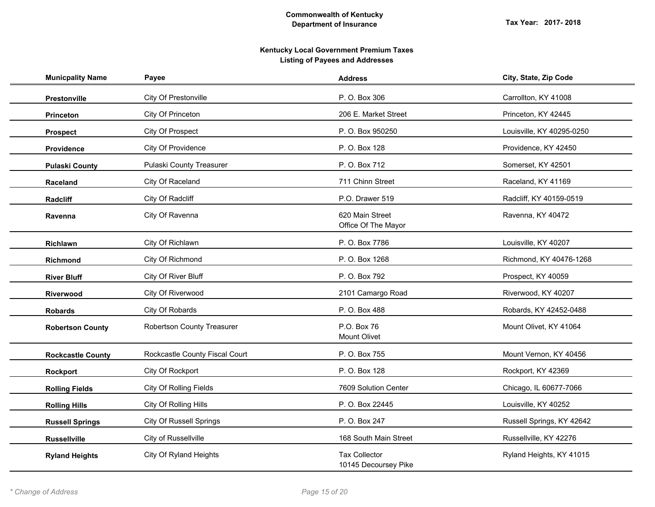| <b>Municpality Name</b>  | Payee                          | <b>Address</b>                               | City, State, Zip Code     |
|--------------------------|--------------------------------|----------------------------------------------|---------------------------|
| Prestonville             | City Of Prestonville           | P. O. Box 306                                | Carrollton, KY 41008      |
| <b>Princeton</b>         | City Of Princeton              | 206 E. Market Street                         | Princeton, KY 42445       |
| <b>Prospect</b>          | City Of Prospect               | P. O. Box 950250                             | Louisville, KY 40295-0250 |
| Providence               | City Of Providence             | P. O. Box 128                                | Providence, KY 42450      |
| <b>Pulaski County</b>    | Pulaski County Treasurer       | P. O. Box 712                                | Somerset, KY 42501        |
| Raceland                 | City Of Raceland               | 711 Chinn Street                             | Raceland, KY 41169        |
| Radcliff                 | City Of Radcliff               | P.O. Drawer 519                              | Radcliff, KY 40159-0519   |
| Ravenna                  | City Of Ravenna                | 620 Main Street<br>Office Of The Mayor       | Ravenna, KY 40472         |
| Richlawn                 | City Of Richlawn               | P. O. Box 7786                               | Louisville, KY 40207      |
| Richmond                 | City Of Richmond               | P.O. Box 1268                                | Richmond, KY 40476-1268   |
| <b>River Bluff</b>       | City Of River Bluff            | P. O. Box 792                                | Prospect, KY 40059        |
| Riverwood                | City Of Riverwood              | 2101 Camargo Road                            | Riverwood, KY 40207       |
| <b>Robards</b>           | City Of Robards                | P. O. Box 488                                | Robards, KY 42452-0488    |
| <b>Robertson County</b>  | Robertson County Treasurer     | P.O. Box 76<br>Mount Olivet                  | Mount Olivet, KY 41064    |
| <b>Rockcastle County</b> | Rockcastle County Fiscal Court | P. O. Box 755                                | Mount Vernon, KY 40456    |
| Rockport                 | City Of Rockport               | P. O. Box 128                                | Rockport, KY 42369        |
| <b>Rolling Fields</b>    | <b>City Of Rolling Fields</b>  | 7609 Solution Center                         | Chicago, IL 60677-7066    |
| <b>Rolling Hills</b>     | City Of Rolling Hills          | P. O. Box 22445                              | Louisville, KY 40252      |
| <b>Russell Springs</b>   | <b>City Of Russell Springs</b> | P. O. Box 247                                | Russell Springs, KY 42642 |
| <b>Russellville</b>      | City of Russellville           | 168 South Main Street                        | Russellville, KY 42276    |
| <b>Ryland Heights</b>    | City Of Ryland Heights         | <b>Tax Collector</b><br>10145 Decoursey Pike | Ryland Heights, KY 41015  |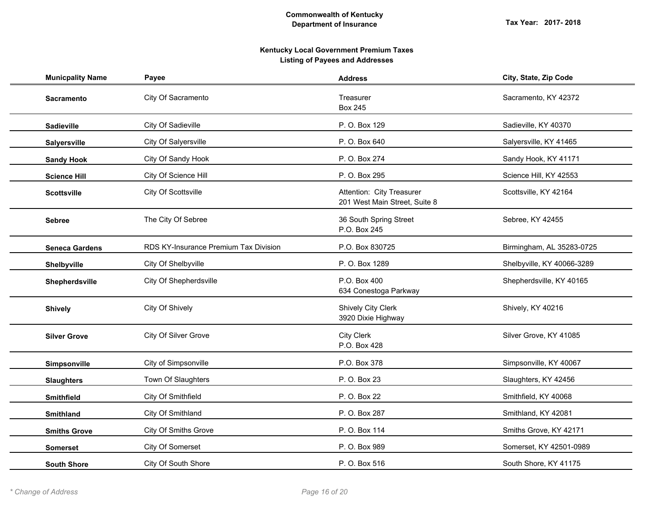| <b>Municpality Name</b> | Payee                                 | <b>Address</b>                                             | City, State, Zip Code      |
|-------------------------|---------------------------------------|------------------------------------------------------------|----------------------------|
| <b>Sacramento</b>       | City Of Sacramento                    | Treasurer<br><b>Box 245</b>                                | Sacramento, KY 42372       |
| <b>Sadieville</b>       | City Of Sadieville                    | P.O. Box 129                                               | Sadieville, KY 40370       |
| Salyersville            | City Of Salyersville                  | P.O. Box 640                                               | Salyersville, KY 41465     |
| <b>Sandy Hook</b>       | City Of Sandy Hook                    | P. O. Box 274                                              | Sandy Hook, KY 41171       |
| <b>Science Hill</b>     | City Of Science Hill                  | P. O. Box 295                                              | Science Hill, KY 42553     |
| <b>Scottsville</b>      | City Of Scottsville                   | Attention: City Treasurer<br>201 West Main Street, Suite 8 | Scottsville, KY 42164      |
| <b>Sebree</b>           | The City Of Sebree                    | 36 South Spring Street<br>P.O. Box 245                     | Sebree, KY 42455           |
| <b>Seneca Gardens</b>   | RDS KY-Insurance Premium Tax Division | P.O. Box 830725                                            | Birmingham, AL 35283-0725  |
| Shelbyville             | City Of Shelbyville                   | P. O. Box 1289                                             | Shelbyville, KY 40066-3289 |
| Shepherdsville          | City Of Shepherdsville                | P.O. Box 400<br>634 Conestoga Parkway                      | Shepherdsville, KY 40165   |
| <b>Shively</b>          | City Of Shively                       | <b>Shively City Clerk</b><br>3920 Dixie Highway            | Shively, KY 40216          |
| <b>Silver Grove</b>     | City Of Silver Grove                  | <b>City Clerk</b><br>P.O. Box 428                          | Silver Grove, KY 41085     |
| Simpsonville            | City of Simpsonville                  | P.O. Box 378                                               | Simpsonville, KY 40067     |
| <b>Slaughters</b>       | Town Of Slaughters                    | P. O. Box 23                                               | Slaughters, KY 42456       |
| <b>Smithfield</b>       | City Of Smithfield                    | P. O. Box 22                                               | Smithfield, KY 40068       |
| <b>Smithland</b>        | City Of Smithland                     | P. O. Box 287                                              | Smithland, KY 42081        |
| <b>Smiths Grove</b>     | City Of Smiths Grove                  | P.O. Box 114                                               | Smiths Grove, KY 42171     |
| <b>Somerset</b>         | City Of Somerset                      | P. O. Box 989                                              | Somerset, KY 42501-0989    |
| <b>South Shore</b>      | City Of South Shore                   | P.O. Box 516                                               | South Shore, KY 41175      |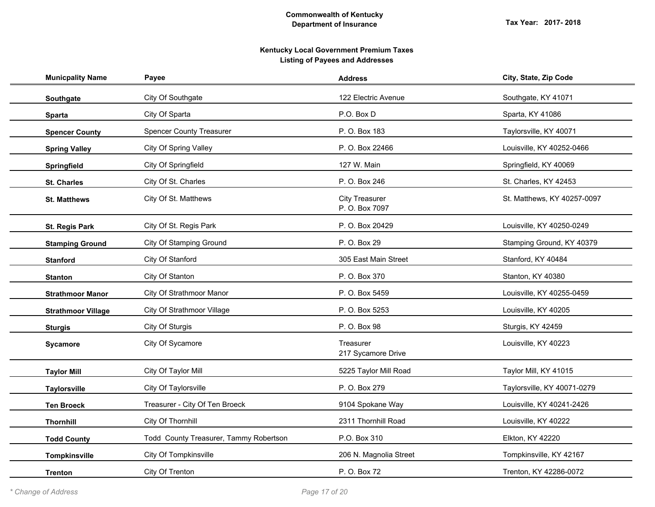| <b>Municpality Name</b>   | Payee                                  | <b>Address</b>                          | City, State, Zip Code       |
|---------------------------|----------------------------------------|-----------------------------------------|-----------------------------|
| Southgate                 | City Of Southgate                      | 122 Electric Avenue                     | Southgate, KY 41071         |
| <b>Sparta</b>             | City Of Sparta                         | P.O. Box D                              | Sparta, KY 41086            |
| <b>Spencer County</b>     | <b>Spencer County Treasurer</b>        | P. O. Box 183                           | Taylorsville, KY 40071      |
| <b>Spring Valley</b>      | City Of Spring Valley                  | P. O. Box 22466                         | Louisville, KY 40252-0466   |
| Springfield               | City Of Springfield                    | 127 W. Main                             | Springfield, KY 40069       |
| <b>St. Charles</b>        | City Of St. Charles                    | P. O. Box 246                           | St. Charles, KY 42453       |
| <b>St. Matthews</b>       | City Of St. Matthews                   | <b>City Treasurer</b><br>P. O. Box 7097 | St. Matthews, KY 40257-0097 |
| <b>St. Regis Park</b>     | City Of St. Regis Park                 | P. O. Box 20429                         | Louisville, KY 40250-0249   |
| <b>Stamping Ground</b>    | City Of Stamping Ground                | P. O. Box 29                            | Stamping Ground, KY 40379   |
| <b>Stanford</b>           | City Of Stanford                       | 305 East Main Street                    | Stanford, KY 40484          |
| <b>Stanton</b>            | City Of Stanton                        | P.O. Box 370                            | Stanton, KY 40380           |
| <b>Strathmoor Manor</b>   | City Of Strathmoor Manor               | P. O. Box 5459                          | Louisville, KY 40255-0459   |
| <b>Strathmoor Village</b> | City Of Strathmoor Village             | P. O. Box 5253                          | Louisville, KY 40205        |
| <b>Sturgis</b>            | City Of Sturgis                        | P. O. Box 98                            | Sturgis, KY 42459           |
| Sycamore                  | City Of Sycamore                       | Treasurer<br>217 Sycamore Drive         | Louisville, KY 40223        |
| <b>Taylor Mill</b>        | City Of Taylor Mill                    | 5225 Taylor Mill Road                   | Taylor Mill, KY 41015       |
| <b>Taylorsville</b>       | City Of Taylorsville                   | P. O. Box 279                           | Taylorsville, KY 40071-0279 |
| <b>Ten Broeck</b>         | Treasurer - City Of Ten Broeck         | 9104 Spokane Way                        | Louisville, KY 40241-2426   |
| <b>Thornhill</b>          | City Of Thornhill                      | 2311 Thornhill Road                     | Louisville, KY 40222        |
| <b>Todd County</b>        | Todd County Treasurer, Tammy Robertson | P.O. Box 310                            | Elkton, KY 42220            |
| Tompkinsville             | City Of Tompkinsville                  | 206 N. Magnolia Street                  | Tompkinsville, KY 42167     |
| <b>Trenton</b>            | City Of Trenton                        | P. O. Box 72                            | Trenton, KY 42286-0072      |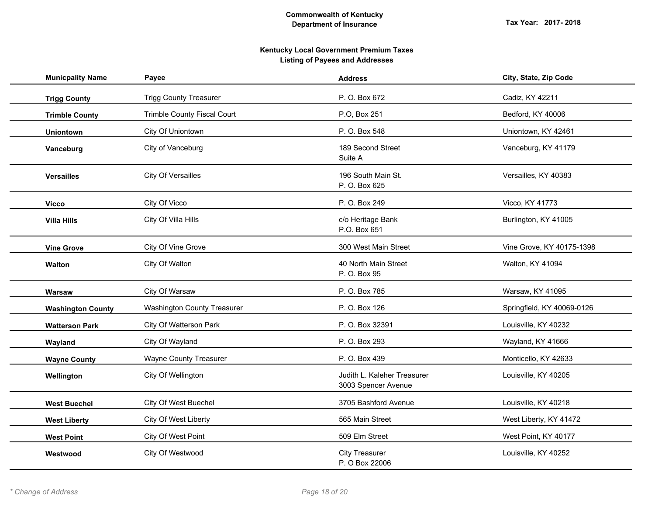| <b>Municpality Name</b>  | Payee                              | <b>Address</b>                                     | City, State, Zip Code      |
|--------------------------|------------------------------------|----------------------------------------------------|----------------------------|
| <b>Trigg County</b>      | <b>Trigg County Treasurer</b>      | P. O. Box 672                                      | Cadiz, KY 42211            |
| <b>Trimble County</b>    | Trimble County Fiscal Court        | P.O, Box 251                                       | Bedford, KY 40006          |
| <b>Uniontown</b>         | City Of Uniontown                  | P. O. Box 548                                      | Uniontown, KY 42461        |
| Vanceburg                | City of Vanceburg                  | 189 Second Street<br>Suite A                       | Vanceburg, KY 41179        |
| <b>Versailles</b>        | City Of Versailles                 | 196 South Main St.<br>P. O. Box 625                | Versailles, KY 40383       |
| <b>Vicco</b>             | City Of Vicco                      | P. O. Box 249                                      | Vicco, KY 41773            |
| <b>Villa Hills</b>       | City Of Villa Hills                | c/o Heritage Bank<br>P.O. Box 651                  | Burlington, KY 41005       |
| <b>Vine Grove</b>        | City Of Vine Grove                 | 300 West Main Street                               | Vine Grove, KY 40175-1398  |
| <b>Walton</b>            | City Of Walton                     | 40 North Main Street<br>P. O. Box 95               | Walton, KY 41094           |
| Warsaw                   | City Of Warsaw                     | P. O. Box 785                                      | Warsaw, KY 41095           |
| <b>Washington County</b> | <b>Washington County Treasurer</b> | P.O. Box 126                                       | Springfield, KY 40069-0126 |
| <b>Watterson Park</b>    | City Of Watterson Park             | P. O. Box 32391                                    | Louisville, KY 40232       |
| Wayland                  | City Of Wayland                    | P. O. Box 293                                      | Wayland, KY 41666          |
| <b>Wayne County</b>      | <b>Wayne County Treasurer</b>      | P. O. Box 439                                      | Monticello, KY 42633       |
| Wellington               | City Of Wellington                 | Judith L. Kaleher Treasurer<br>3003 Spencer Avenue | Louisville, KY 40205       |
| <b>West Buechel</b>      | City Of West Buechel               | 3705 Bashford Avenue                               | Louisville, KY 40218       |
| <b>West Liberty</b>      | City Of West Liberty               | 565 Main Street                                    | West Liberty, KY 41472     |
| <b>West Point</b>        | City Of West Point                 | 509 Elm Street                                     | West Point, KY 40177       |
| Westwood                 | City Of Westwood                   | <b>City Treasurer</b><br>P. O Box 22006            | Louisville, KY 40252       |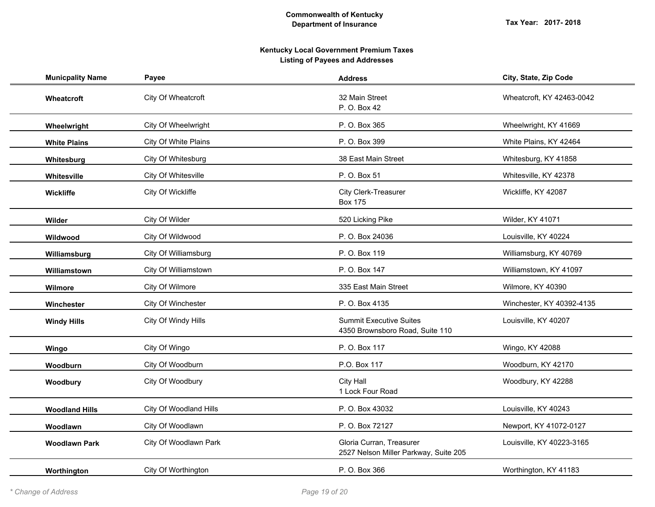| <b>Municpality Name</b> | Payee                  | <b>Address</b>                                                    | City, State, Zip Code     |
|-------------------------|------------------------|-------------------------------------------------------------------|---------------------------|
| Wheatcroft              | City Of Wheatcroft     | 32 Main Street<br>P. O. Box 42                                    | Wheatcroft, KY 42463-0042 |
| Wheelwright             | City Of Wheelwright    | P.O. Box 365                                                      | Wheelwright, KY 41669     |
| <b>White Plains</b>     | City Of White Plains   | P.O. Box 399                                                      | White Plains, KY 42464    |
| Whitesburg              | City Of Whitesburg     | 38 East Main Street                                               | Whitesburg, KY 41858      |
| Whitesville             | City Of Whitesville    | P. O. Box 51                                                      | Whitesville, KY 42378     |
| Wickliffe               | City Of Wickliffe      | City Clerk-Treasurer<br><b>Box 175</b>                            | Wickliffe, KY 42087       |
| Wilder                  | City Of Wilder         | 520 Licking Pike                                                  | Wilder, KY 41071          |
| Wildwood                | City Of Wildwood       | P. O. Box 24036                                                   | Louisville, KY 40224      |
| Williamsburg            | City Of Williamsburg   | P. O. Box 119                                                     | Williamsburg, KY 40769    |
| Williamstown            | City Of Williamstown   | P. O. Box 147                                                     | Williamstown, KY 41097    |
| Wilmore                 | City Of Wilmore        | 335 East Main Street                                              | Wilmore, KY 40390         |
| Winchester              | City Of Winchester     | P. O. Box 4135                                                    | Winchester, KY 40392-4135 |
| <b>Windy Hills</b>      | City Of Windy Hills    | <b>Summit Executive Suites</b><br>4350 Brownsboro Road, Suite 110 | Louisville, KY 40207      |
| Wingo                   | City Of Wingo          | P. O. Box 117                                                     | Wingo, KY 42088           |
| Woodburn                | City Of Woodburn       | P.O. Box 117                                                      | Woodburn, KY 42170        |
| Woodbury                | City Of Woodbury       | City Hall<br>1 Lock Four Road                                     | Woodbury, KY 42288        |
| <b>Woodland Hills</b>   | City Of Woodland Hills | P. O. Box 43032                                                   | Louisville, KY 40243      |
| Woodlawn                | City Of Woodlawn       | P. O. Box 72127                                                   | Newport, KY 41072-0127    |
| <b>Woodlawn Park</b>    | City Of Woodlawn Park  | Gloria Curran, Treasurer<br>2527 Nelson Miller Parkway, Suite 205 | Louisville, KY 40223-3165 |
| Worthington             | City Of Worthington    | P. O. Box 366                                                     | Worthington, KY 41183     |